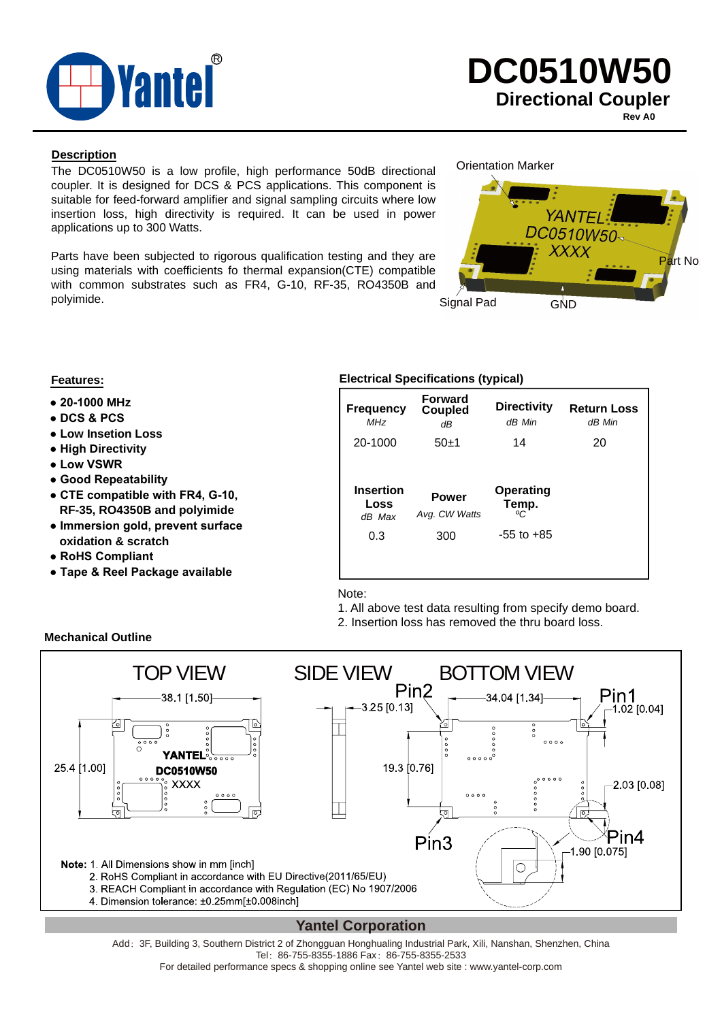

**Rev A0**

### **Description**

The DC0510W50 is a low profile, high performance 50dB directional coupler. It is designed for DCS & PCS applications. This component is suitable for feed-forward amplifier and signal sampling circuits where low insertion loss, high directivity is required. It can be used in power applications up to 300 Watts.

Parts have been subjected to rigorous qualification testing and they are using materials with coefficients fo thermal expansion(CTE) compatible with common substrates such as FR4, G-10, RF-35, RO4350B and polyimide.

### Orientation Marker



- **20-1000 MHz**
- **DCS & PCS**
- **Low Insetion Loss**
- **High Directivity**
- **Low VSWR**
- **Good Repeatability**
- **CTE compatible with FR4, G-10, RF-35, RO4350B and polyimide**
- **Immersion gold, prevent surface oxidation & scratch**
- **RoHS Compliant**
- **Tape & Reel Package available**

### **Features: Electrical Specifications (typical)**

| <b>Frequency</b><br>MHz            | <b>Forward</b><br><b>Coupled</b><br>dΒ | <b>Directivity</b><br>dB Min   | <b>Return Loss</b><br>dB Min |
|------------------------------------|----------------------------------------|--------------------------------|------------------------------|
| 20-1000                            | $50+1$                                 | 14<br>20                       |                              |
|                                    |                                        |                                |                              |
| <b>Insertion</b><br>Loss<br>dB Max | <b>Power</b><br>Avg. CW Watts          | <b>Operating</b><br>Temp.<br>∝ |                              |
| 0.3                                | 300                                    | $-55$ to $+85$                 |                              |

Note:

- 1. All above test data resulting from specify demo board.
- 2. Insertion loss has removed the thru board loss.



### **Yantel Corporation**

Add: 3F, Building 3, Southern District 2 of Zhongguan Honghualing Industrial Park, Xili, Nanshan, Shenzhen, China Tel: 86-755-8355-1886 Fax: 86-755-8355-2533

For detailed performance specs & shopping online see Yantel web site : www.yantel-corp.com

#### **Mechanical Outline**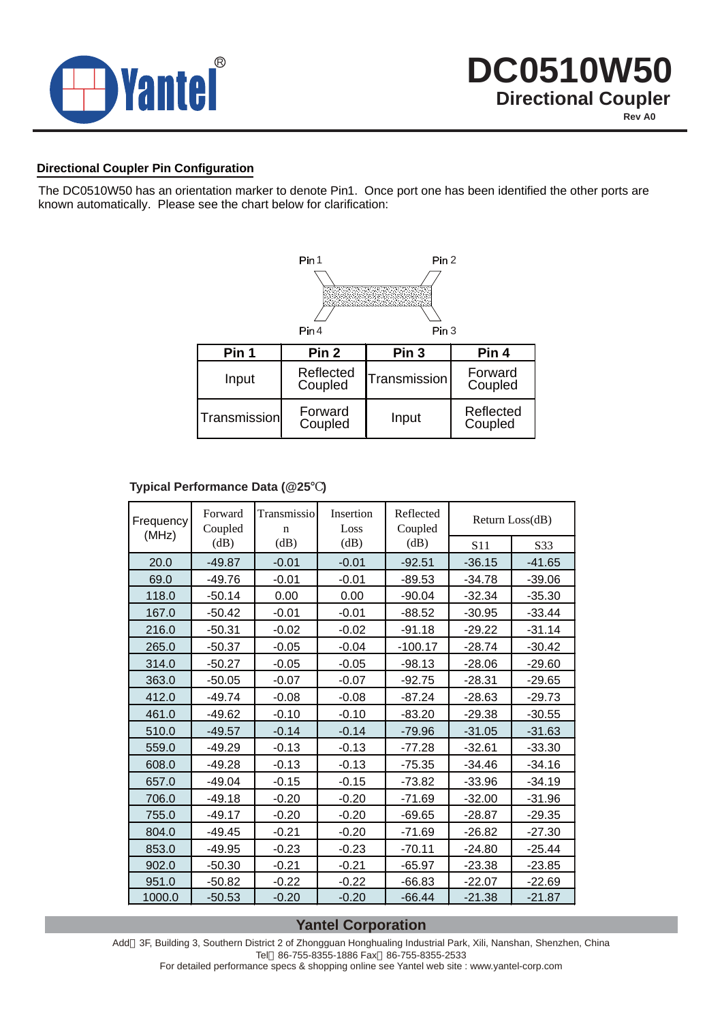

### **Directional Coupler Pin Configuration**

The DC0510W50 has an orientation marker to denote Pin1. Once port one has been identified the other ports are known automatically. Please see the chart below for clarification:



### **Typical Performance Data (@25 )**

| Frequency<br>(MHz) | Forward<br>Coupled | Transmissio<br>$\mathbf n$ | Insertion<br>Loss | Reflected<br>Coupled |                 | Return Loss(dB) |
|--------------------|--------------------|----------------------------|-------------------|----------------------|-----------------|-----------------|
|                    | (dB)               | (dB)                       | (dB)              | (dB)                 | S <sub>11</sub> | S33             |
| 20.0               | $-49.87$           | $-0.01$                    | $-0.01$           | $-92.51$             | $-36.15$        | $-41.65$        |
| 69.0               | $-49.76$           | $-0.01$                    | $-0.01$           | $-89.53$             | $-34.78$        | $-39.06$        |
| 118.0              | $-50.14$           | 0.00                       | 0.00              | $-90.04$             | $-32.34$        | $-35.30$        |
| 167.0              | $-50.42$           | $-0.01$                    | $-0.01$           | $-88.52$             | $-30.95$        | $-33.44$        |
| 216.0              | $-50.31$           | $-0.02$                    | $-0.02$           | $-91.18$             | $-29.22$        | $-31.14$        |
| 265.0              | $-50.37$           | $-0.05$                    | $-0.04$           | $-100.17$            | $-28.74$        | $-30.42$        |
| 314.0              | $-50.27$           | $-0.05$                    | $-0.05$           | $-98.13$             | $-28.06$        | $-29.60$        |
| 363.0              | $-50.05$           | $-0.07$                    | $-0.07$           | $-92.75$             | $-28.31$        | $-29.65$        |
| 412.0              | $-49.74$           | $-0.08$                    | $-0.08$           | $-87.24$             | $-28.63$        | $-29.73$        |
| 461.0              | $-49.62$           | $-0.10$                    | $-0.10$           | $-83.20$             | $-29.38$        | $-30.55$        |
| 510.0              | $-49.57$           | $-0.14$                    | $-0.14$           | $-79.96$             | $-31.05$        | $-31.63$        |
| 559.0              | $-49.29$           | $-0.13$                    | $-0.13$           | $-77.28$             | $-32.61$        | $-33.30$        |
| 608.0              | $-49.28$           | $-0.13$                    | $-0.13$           | $-75.35$             | $-34.46$        | $-34.16$        |
| 657.0              | $-49.04$           | $-0.15$                    | $-0.15$           | $-73.82$             | $-33.96$        | $-34.19$        |
| 706.0              | $-49.18$           | $-0.20$                    | $-0.20$           | $-71.69$             | $-32.00$        | $-31.96$        |
| 755.0              | $-49.17$           | $-0.20$                    | $-0.20$           | $-69.65$             | $-28.87$        | $-29.35$        |
| 804.0              | $-49.45$           | $-0.21$                    | $-0.20$           | $-71.69$             | $-26.82$        | $-27.30$        |
| 853.0              | $-49.95$           | $-0.23$                    | $-0.23$           | $-70.11$             | $-24.80$        | $-25.44$        |
| 902.0              | $-50.30$           | $-0.21$                    | $-0.21$           | $-65.97$             | $-23.38$        | $-23.85$        |
| 951.0              | $-50.82$           | $-0.22$                    | $-0.22$           | $-66.83$             | $-22.07$        | $-22.69$        |
| 1000.0             | $-50.53$           | $-0.20$                    | $-0.20$           | $-66.44$             | $-21.38$        | $-21.87$        |

### **Yantel Corporation**

Add 3F, Building 3, Southern District 2 of Zhongguan Honghualing Industrial Park, Xili, Nanshan, Shenzhen, China Tel 86-755-8355-1886 Fax 86-755-8355-2533

For detailed performance specs & shopping online see Yantel web site : www.yantel-corp.com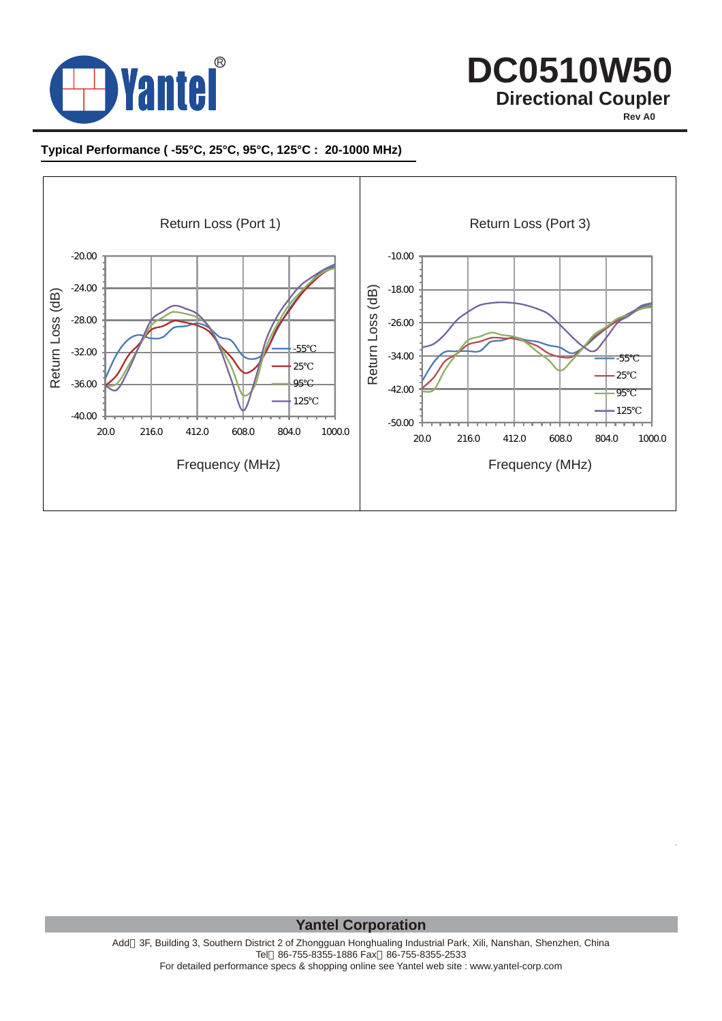

**Rev A0**

### **Typical Performance ( -55°C, 25°C, 95°C, 125°C : 20-1000 MHz)**



**Yantel Corporation**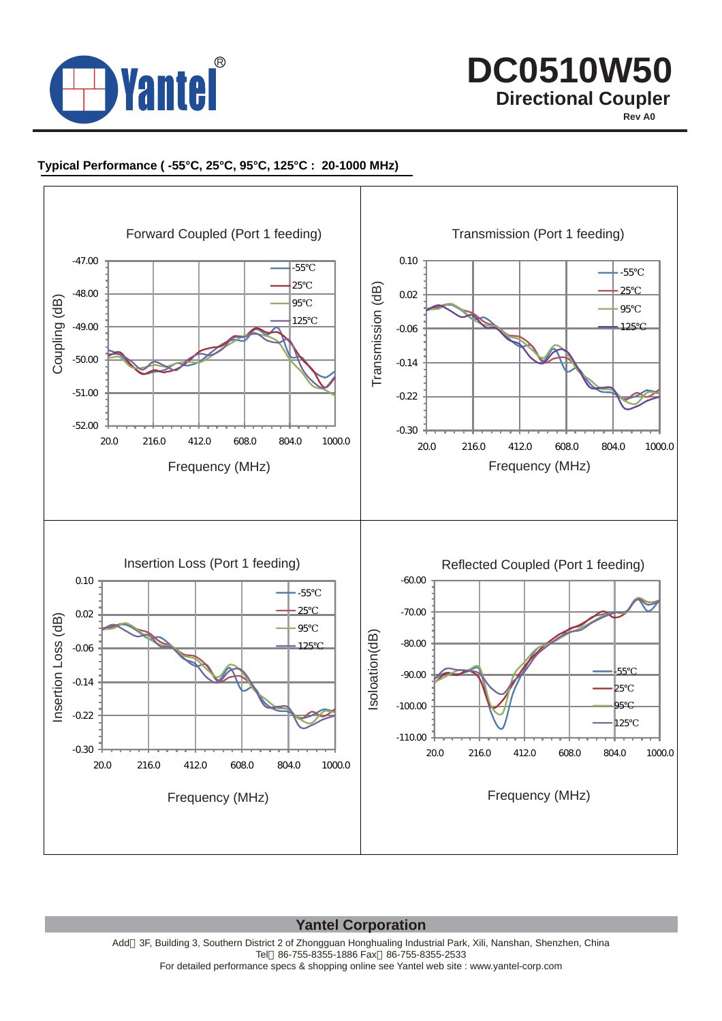

**Rev A0**

### **Typical Performance ( -55°C, 25°C, 95°C, 125°C : 20-1000 MHz)**



**Yantel Corporation**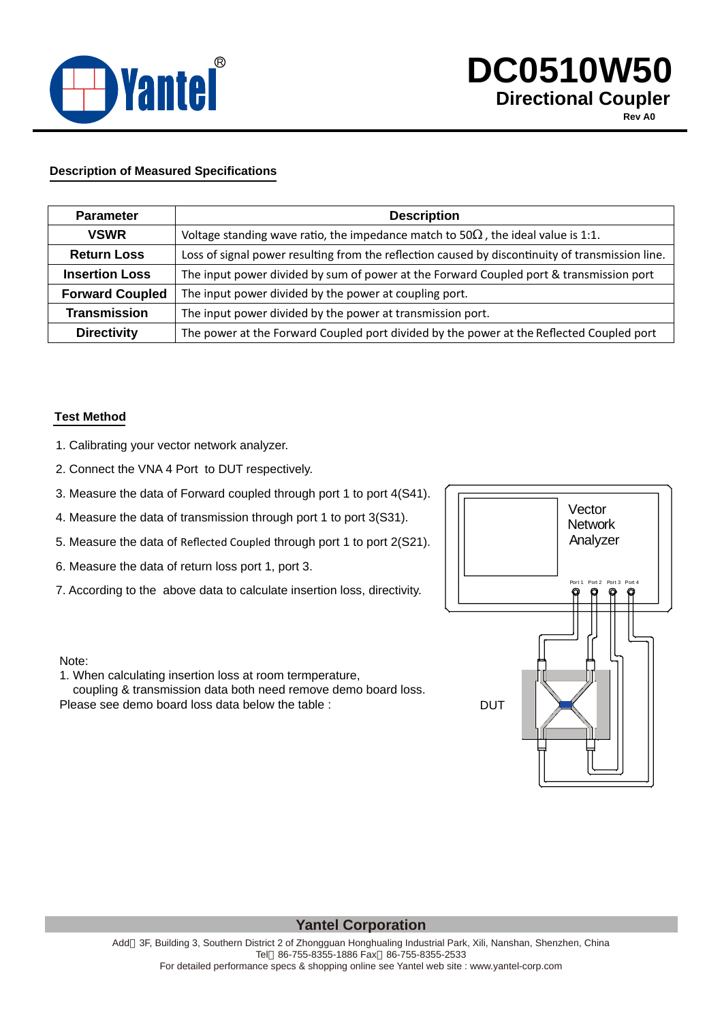

**Rev A0**

### **Description of Measured Specifications**

| <b>Parameter</b>       | <b>Description</b>                                                                               |
|------------------------|--------------------------------------------------------------------------------------------------|
| <b>VSWR</b>            | Voltage standing wave ratio, the impedance match to 50<br>the ideal value is 1:1.                |
| <b>Return Loss</b>     | Loss of signal power resulting from the reflection caused by discontinuity of transmission line. |
| <b>Insertion Loss</b>  | The input power divided by sum of power at the Forward Coupled port & transmission port          |
| <b>Forward Coupled</b> | The input power divided by the power at coupling port.                                           |
| <b>Transmission</b>    | The input power divided by the power at transmission port.                                       |
| <b>Directivity</b>     | The power at the Forward Coupled port divided by the power at the Reflected Coupled port         |

#### **Test Method**

- 1. Calibrating your vector network analyzer.
- 2. Connect the VNA 4 Port to DUT respectively.
- 3. Measure the data of Forward coupled through port 1 to port 4(S41).
- 4. Measure the data of transmission through port 1 to port 3(S31).
- 5. Measure the data of Reflected Coupled through port 1 to port 2(S21).
- 6. Measure the data of return loss port 1, port 3.
- 7. According to the above data to calculate insertion loss, directivity.



#### Note:

1. When calculating insertion loss at room termperature,

 coupling & transmission data both need remove demo board loss. Please see demo board loss data below the table :

## **Yantel Corporation**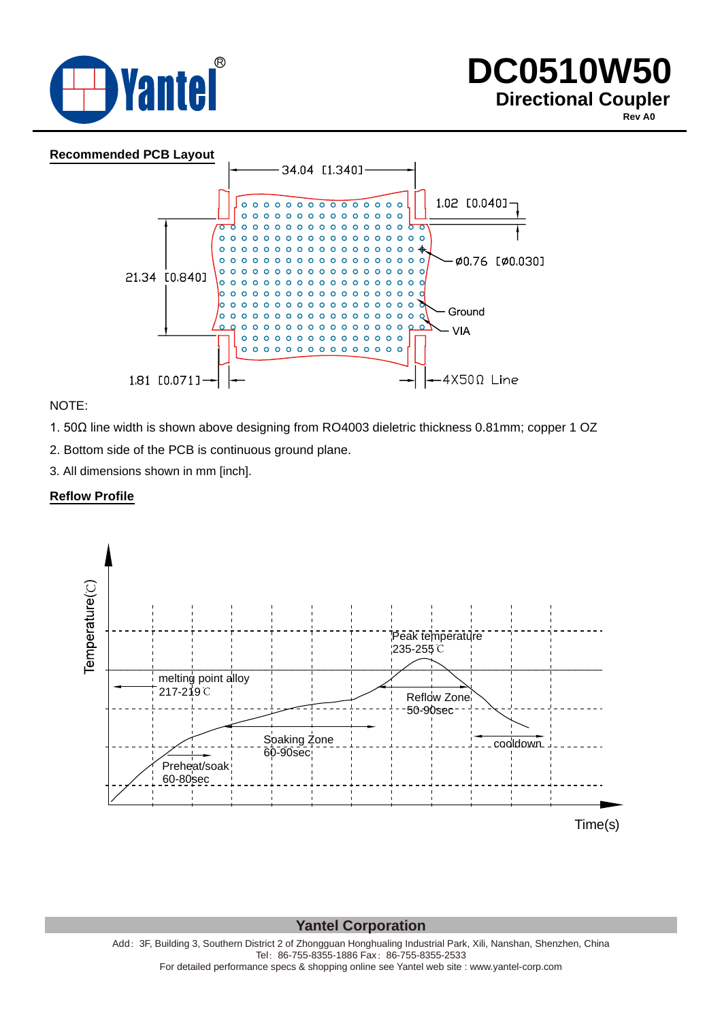

**Rev A0**



NOTE:

1. 50Ω line width is shown above designing from RO4003 dieletric thickness 0.81mm; copper 1 OZ

2. Bottom side of the PCB is continuous ground plane.

3. All dimensions shown in mm [inch].

### **Reflow Profile**



**Yantel Corporation**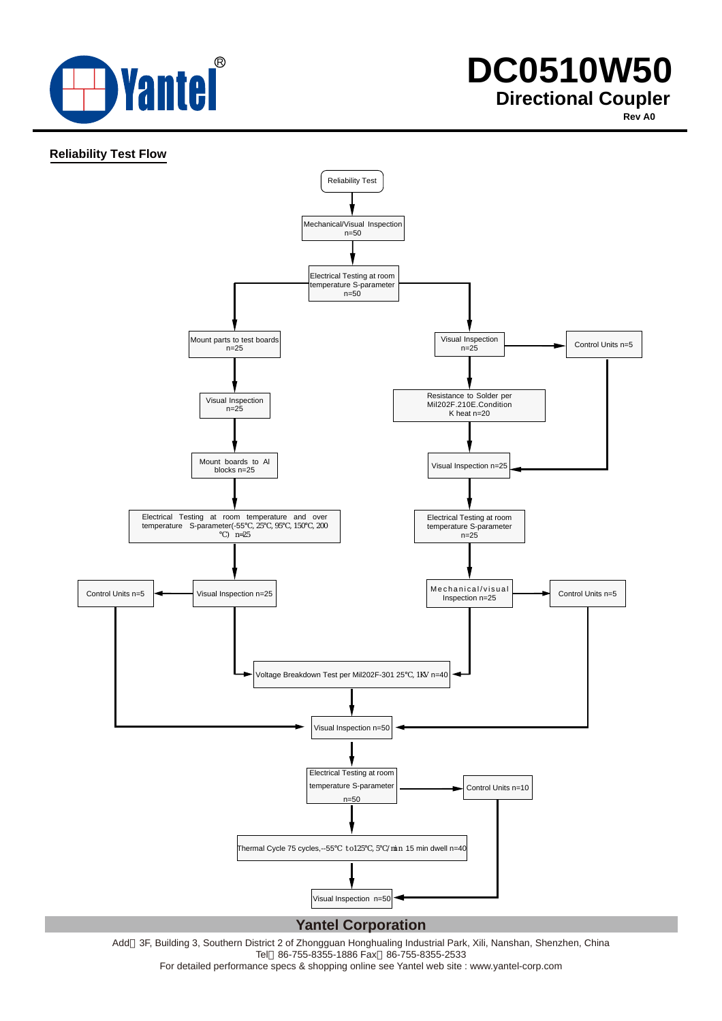

**Rev A0**

### **Reliability Test Flow**



Add 3F, Building 3, Southern District 2 of Zhongguan Honghualing Industrial Park, Xili, Nanshan, Shenzhen, China Tel 86-755-8355-1886 Fax 86-755-8355-2533

For detailed performance specs & shopping online see Yantel web site : www.yantel-corp.com